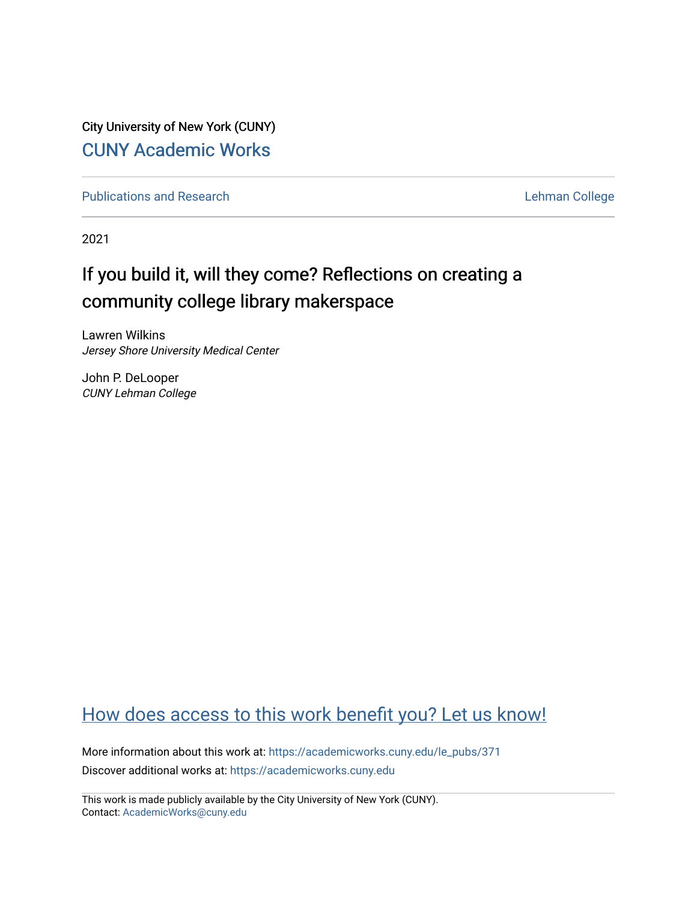City University of New York (CUNY) [CUNY Academic Works](https://academicworks.cuny.edu/) 

[Publications and Research](https://academicworks.cuny.edu/le_pubs) **Lehman College** 

2021

# If you build it, will they come? Reflections on creating a community college library makerspace

Lawren Wilkins Jersey Shore University Medical Center

John P. DeLooper CUNY Lehman College

## [How does access to this work benefit you? Let us know!](http://ols.cuny.edu/academicworks/?ref=https://academicworks.cuny.edu/le_pubs/371)

More information about this work at: [https://academicworks.cuny.edu/le\\_pubs/371](https://academicworks.cuny.edu/le_pubs/371) Discover additional works at: [https://academicworks.cuny.edu](https://academicworks.cuny.edu/?)

This work is made publicly available by the City University of New York (CUNY). Contact: [AcademicWorks@cuny.edu](mailto:AcademicWorks@cuny.edu)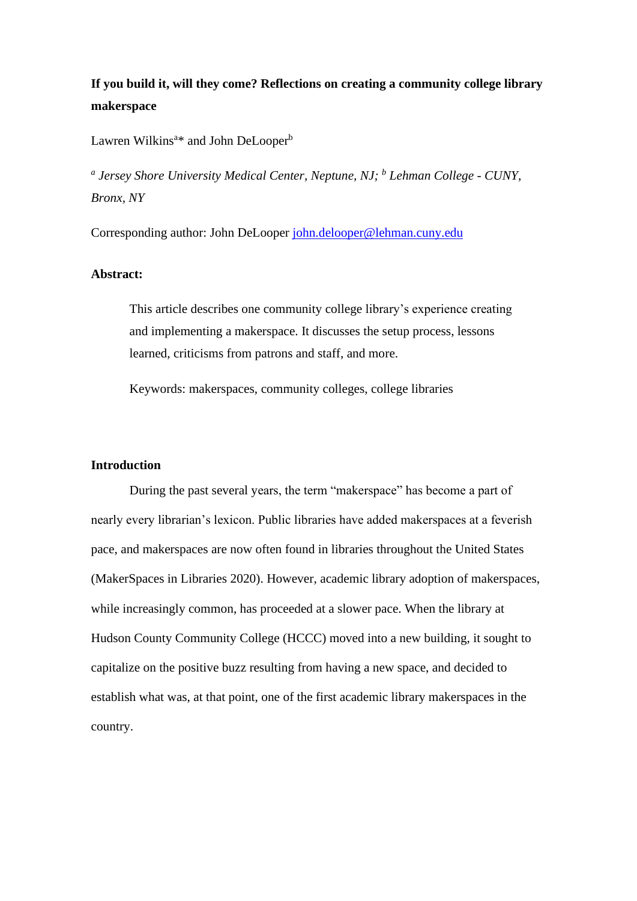## **If you build it, will they come? Reflections on creating a community college library makerspace**

Lawren Wilkins<sup>a\*</sup> and John DeLooper<sup>b</sup>

*a Jersey Shore University Medical Center, Neptune, NJ; <sup>b</sup> Lehman College - CUNY, Bronx, NY*

Corresponding author: John DeLooper [john.delooper@lehman.cuny.edu](mailto:john.delooper@lehman.cuny.edu)

#### **Abstract:**

This article describes one community college library's experience creating and implementing a makerspace. It discusses the setup process, lessons learned, criticisms from patrons and staff, and more.

Keywords: makerspaces, community colleges, college libraries

## **Introduction**

During the past several years, the term "makerspace" has become a part of nearly every librarian's lexicon. Public libraries have added makerspaces at a feverish pace, and makerspaces are now often found in libraries throughout the United States (MakerSpaces in Libraries 2020). However, academic library adoption of makerspaces, while increasingly common, has proceeded at a slower pace. When the library at Hudson County Community College (HCCC) moved into a new building, it sought to capitalize on the positive buzz resulting from having a new space, and decided to establish what was, at that point, one of the first academic library makerspaces in the country.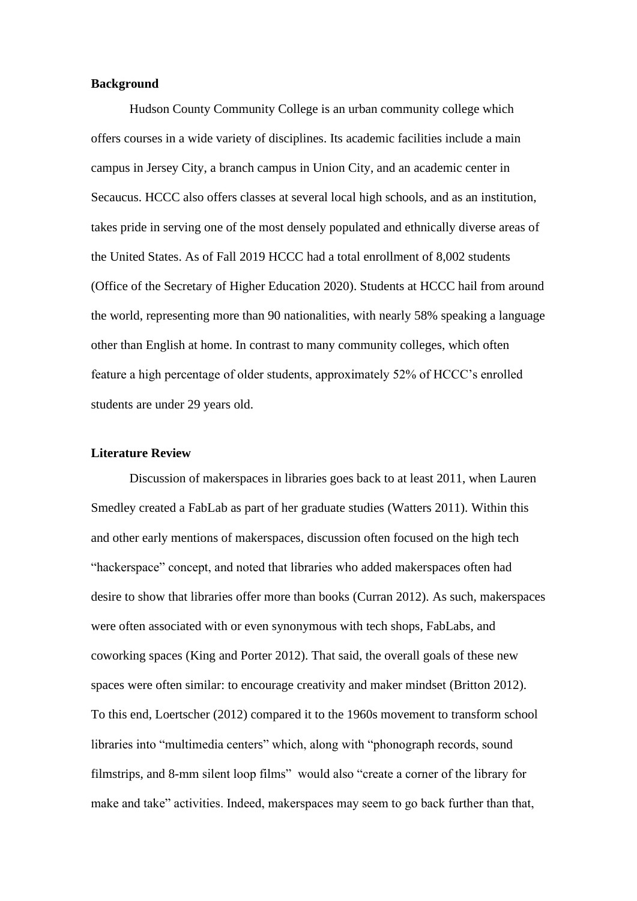## **Background**

Hudson County Community College is an urban community college which offers courses in a wide variety of disciplines. Its academic facilities include a main campus in Jersey City, a branch campus in Union City, and an academic center in Secaucus. HCCC also offers classes at several local high schools, and as an institution, takes pride in serving one of the most densely populated and ethnically diverse areas of the United States. As of Fall 2019 HCCC had a total enrollment of 8,002 students (Office of the Secretary of Higher Education 2020). Students at HCCC hail from around the world, representing more than 90 nationalities, with nearly 58% speaking a language other than English at home. In contrast to many community colleges, which often feature a high percentage of older students, approximately 52% of HCCC's enrolled students are under 29 years old.

## **Literature Review**

Discussion of makerspaces in libraries goes back to at least 2011, when Lauren Smedley created a FabLab as part of her graduate studies (Watters 2011). Within this and other early mentions of makerspaces, discussion often focused on the high tech "hackerspace" concept, and noted that libraries who added makerspaces often had desire to show that libraries offer more than books (Curran 2012). As such, makerspaces were often associated with or even synonymous with tech shops, FabLabs, and coworking spaces (King and Porter 2012). That said, the overall goals of these new spaces were often similar: to encourage creativity and maker mindset (Britton 2012). To this end, Loertscher (2012) compared it to the 1960s movement to transform school libraries into "multimedia centers" which, along with "phonograph records, sound filmstrips, and 8-mm silent loop films" would also "create a corner of the library for make and take" activities. Indeed, makerspaces may seem to go back further than that,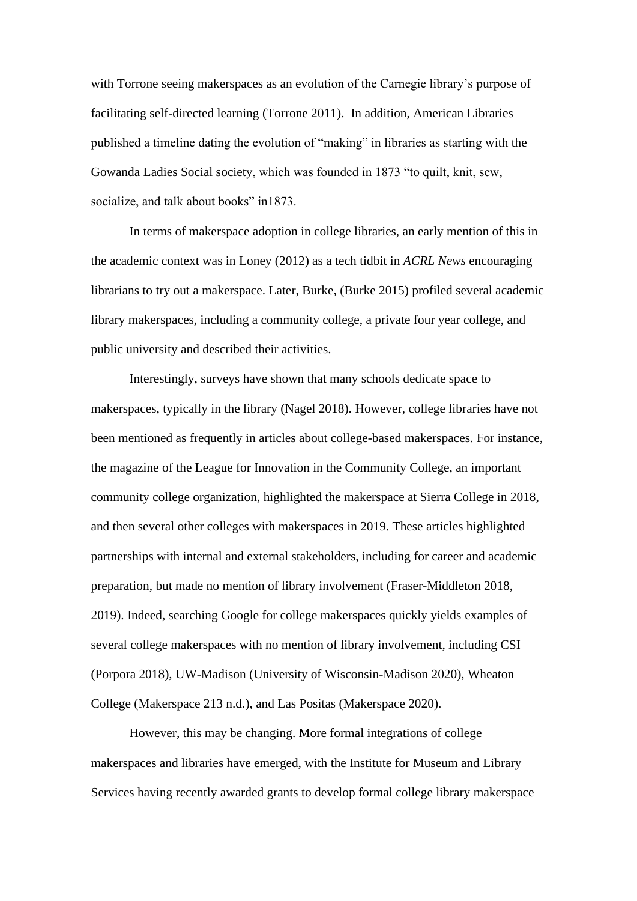with Torrone seeing makerspaces as an evolution of the Carnegie library's purpose of facilitating self-directed learning (Torrone 2011). In addition, American Libraries published a timeline dating the evolution of "making" in libraries as starting with the Gowanda Ladies Social society, which was founded in 1873 "to quilt, knit, sew, socialize, and talk about books" in1873.

In terms of makerspace adoption in college libraries, an early mention of this in the academic context was in Loney (2012) as a tech tidbit in *ACRL News* encouraging librarians to try out a makerspace. Later, Burke, (Burke 2015) profiled several academic library makerspaces, including a community college, a private four year college, and public university and described their activities.

Interestingly, surveys have shown that many schools dedicate space to makerspaces, typically in the library (Nagel 2018). However, college libraries have not been mentioned as frequently in articles about college-based makerspaces. For instance, the magazine of the League for Innovation in the Community College, an important community college organization, highlighted the makerspace at Sierra College in 2018, and then several other colleges with makerspaces in 2019. These articles highlighted partnerships with internal and external stakeholders, including for career and academic preparation, but made no mention of library involvement (Fraser-Middleton 2018, 2019). Indeed, searching Google for college makerspaces quickly yields examples of several college makerspaces with no mention of library involvement, including CSI (Porpora 2018), UW-Madison (University of Wisconsin-Madison 2020), Wheaton College (Makerspace 213 n.d.), and Las Positas (Makerspace 2020).

However, this may be changing. More formal integrations of college makerspaces and libraries have emerged, with the Institute for Museum and Library Services having recently awarded grants to develop formal college library makerspace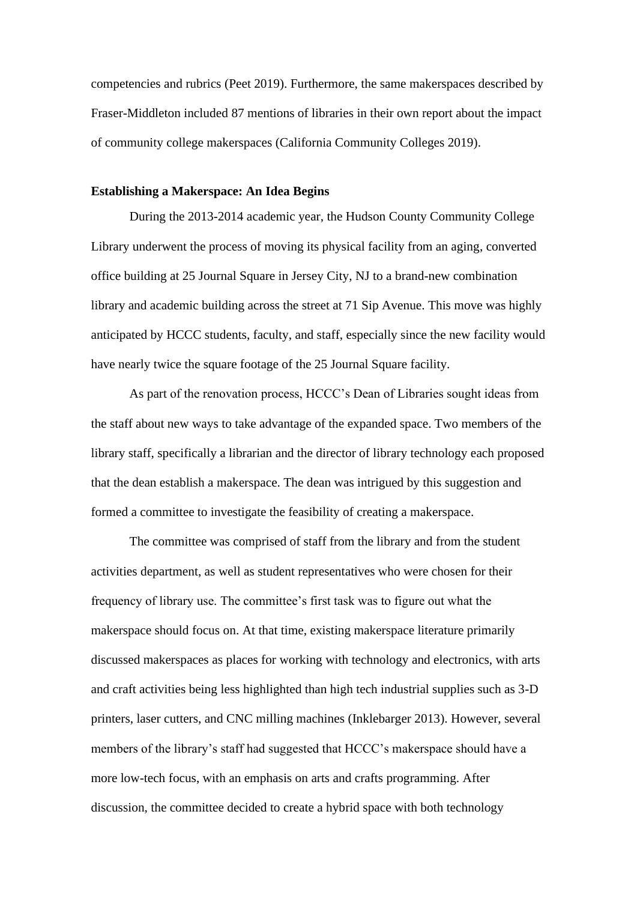competencies and rubrics (Peet 2019). Furthermore, the same makerspaces described by Fraser-Middleton included 87 mentions of libraries in their own report about the impact of community college makerspaces (California Community Colleges 2019).

### **Establishing a Makerspace: An Idea Begins**

During the 2013-2014 academic year, the Hudson County Community College Library underwent the process of moving its physical facility from an aging, converted office building at 25 Journal Square in Jersey City, NJ to a brand-new combination library and academic building across the street at 71 Sip Avenue. This move was highly anticipated by HCCC students, faculty, and staff, especially since the new facility would have nearly twice the square footage of the 25 Journal Square facility.

As part of the renovation process, HCCC's Dean of Libraries sought ideas from the staff about new ways to take advantage of the expanded space. Two members of the library staff, specifically a librarian and the director of library technology each proposed that the dean establish a makerspace. The dean was intrigued by this suggestion and formed a committee to investigate the feasibility of creating a makerspace.

The committee was comprised of staff from the library and from the student activities department, as well as student representatives who were chosen for their frequency of library use. The committee's first task was to figure out what the makerspace should focus on. At that time, existing makerspace literature primarily discussed makerspaces as places for working with technology and electronics, with arts and craft activities being less highlighted than high tech industrial supplies such as 3-D printers, laser cutters, and CNC milling machines (Inklebarger 2013). However, several members of the library's staff had suggested that HCCC's makerspace should have a more low-tech focus, with an emphasis on arts and crafts programming. After discussion, the committee decided to create a hybrid space with both technology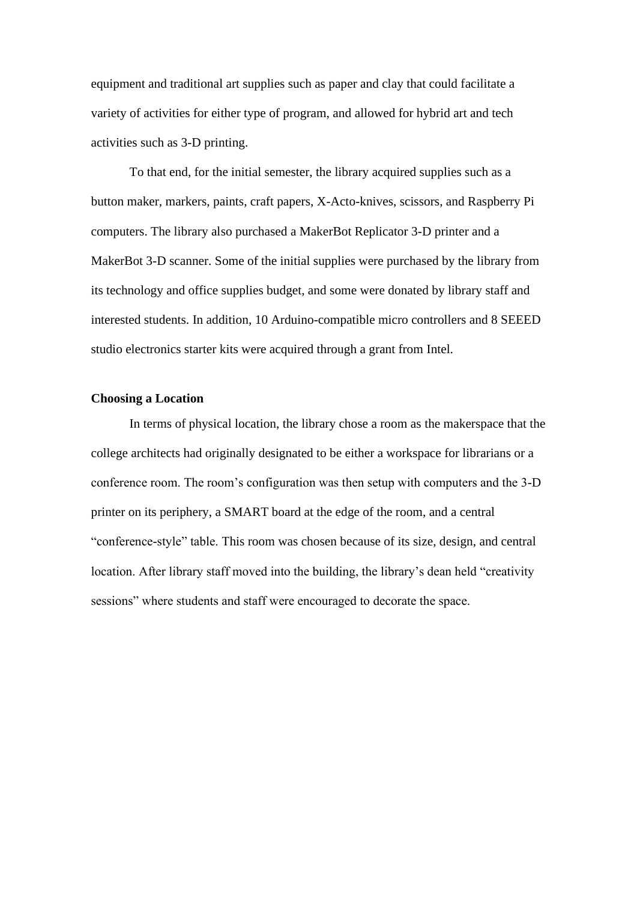equipment and traditional art supplies such as paper and clay that could facilitate a variety of activities for either type of program, and allowed for hybrid art and tech activities such as 3-D printing.

To that end, for the initial semester, the library acquired supplies such as a button maker, markers, paints, craft papers, X-Acto-knives, scissors, and Raspberry Pi computers. The library also purchased a MakerBot Replicator 3-D printer and a MakerBot 3-D scanner. Some of the initial supplies were purchased by the library from its technology and office supplies budget, and some were donated by library staff and interested students. In addition, 10 Arduino-compatible micro controllers and 8 SEEED studio electronics starter kits were acquired through a grant from Intel.

## **Choosing a Location**

In terms of physical location, the library chose a room as the makerspace that the college architects had originally designated to be either a workspace for librarians or a conference room. The room's configuration was then setup with computers and the 3-D printer on its periphery, a SMART board at the edge of the room, and a central "conference-style" table. This room was chosen because of its size, design, and central location. After library staff moved into the building, the library's dean held "creativity sessions" where students and staff were encouraged to decorate the space.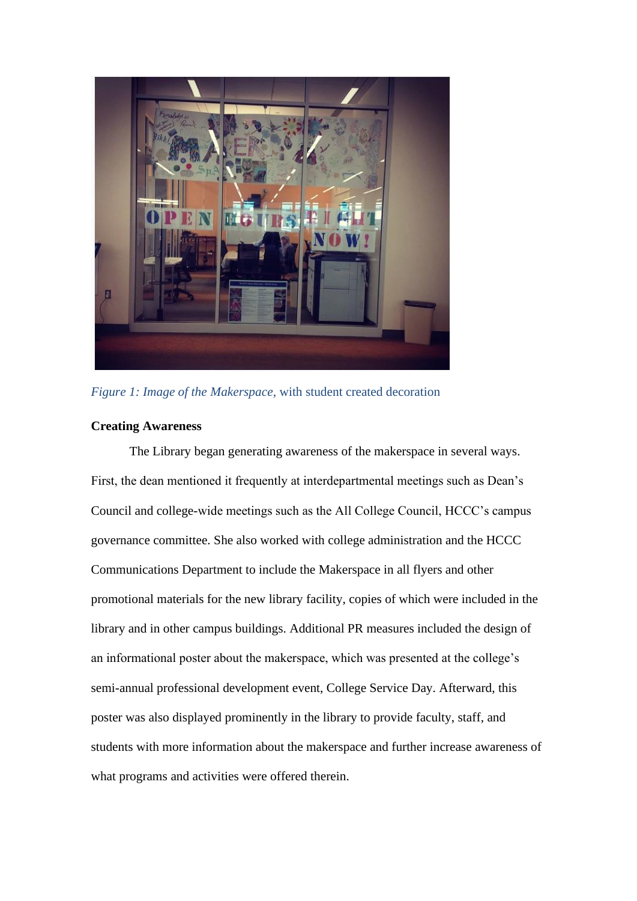

*Figure 1: Image of the Makerspace*, with student created decoration

## **Creating Awareness**

The Library began generating awareness of the makerspace in several ways. First, the dean mentioned it frequently at interdepartmental meetings such as Dean's Council and college-wide meetings such as the All College Council, HCCC's campus governance committee. She also worked with college administration and the HCCC Communications Department to include the Makerspace in all flyers and other promotional materials for the new library facility, copies of which were included in the library and in other campus buildings. Additional PR measures included the design of an informational poster about the makerspace, which was presented at the college's semi-annual professional development event, College Service Day. Afterward, this poster was also displayed prominently in the library to provide faculty, staff, and students with more information about the makerspace and further increase awareness of what programs and activities were offered therein.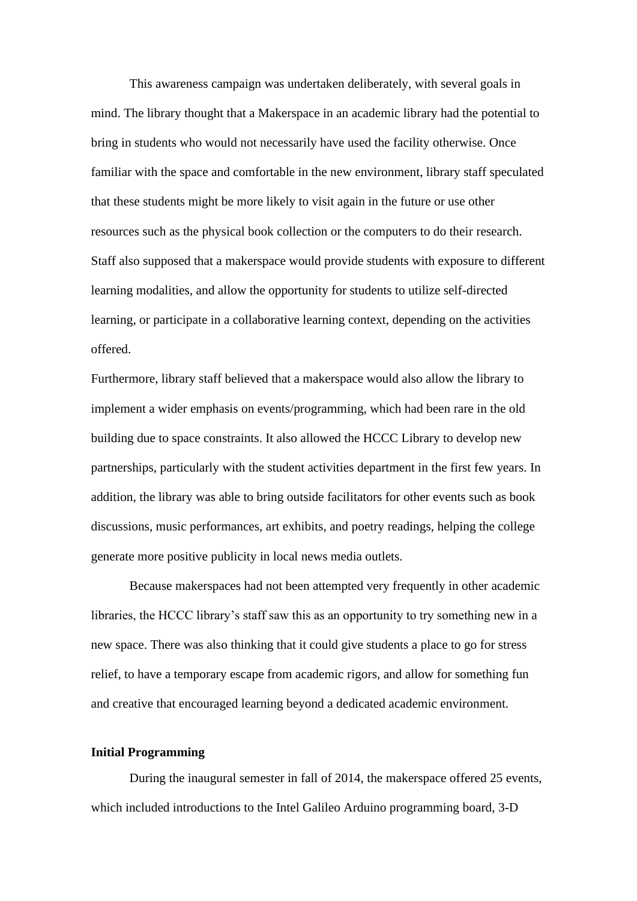This awareness campaign was undertaken deliberately, with several goals in mind. The library thought that a Makerspace in an academic library had the potential to bring in students who would not necessarily have used the facility otherwise. Once familiar with the space and comfortable in the new environment, library staff speculated that these students might be more likely to visit again in the future or use other resources such as the physical book collection or the computers to do their research. Staff also supposed that a makerspace would provide students with exposure to different learning modalities, and allow the opportunity for students to utilize self-directed learning, or participate in a collaborative learning context, depending on the activities offered.

Furthermore, library staff believed that a makerspace would also allow the library to implement a wider emphasis on events/programming, which had been rare in the old building due to space constraints. It also allowed the HCCC Library to develop new partnerships, particularly with the student activities department in the first few years. In addition, the library was able to bring outside facilitators for other events such as book discussions, music performances, art exhibits, and poetry readings, helping the college generate more positive publicity in local news media outlets.

Because makerspaces had not been attempted very frequently in other academic libraries, the HCCC library's staff saw this as an opportunity to try something new in a new space. There was also thinking that it could give students a place to go for stress relief, to have a temporary escape from academic rigors, and allow for something fun and creative that encouraged learning beyond a dedicated academic environment.

#### **Initial Programming**

During the inaugural semester in fall of 2014, the makerspace offered 25 events, which included introductions to the Intel Galileo Arduino programming board, 3-D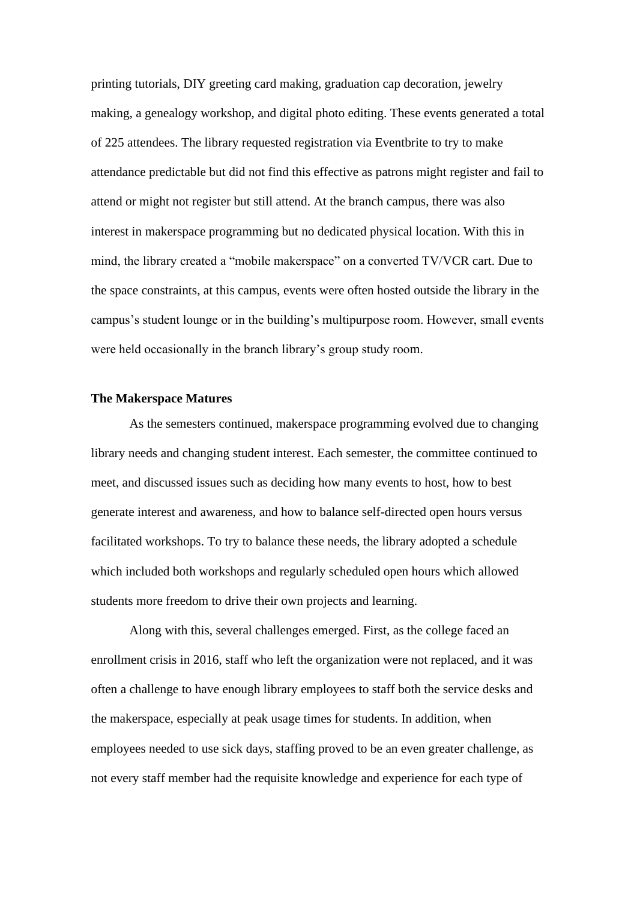printing tutorials, DIY greeting card making, graduation cap decoration, jewelry making, a genealogy workshop, and digital photo editing. These events generated a total of 225 attendees. The library requested registration via Eventbrite to try to make attendance predictable but did not find this effective as patrons might register and fail to attend or might not register but still attend. At the branch campus, there was also interest in makerspace programming but no dedicated physical location. With this in mind, the library created a "mobile makerspace" on a converted TV/VCR cart. Due to the space constraints, at this campus, events were often hosted outside the library in the campus's student lounge or in the building's multipurpose room. However, small events were held occasionally in the branch library's group study room.

#### **The Makerspace Matures**

As the semesters continued, makerspace programming evolved due to changing library needs and changing student interest. Each semester, the committee continued to meet, and discussed issues such as deciding how many events to host, how to best generate interest and awareness, and how to balance self-directed open hours versus facilitated workshops. To try to balance these needs, the library adopted a schedule which included both workshops and regularly scheduled open hours which allowed students more freedom to drive their own projects and learning.

Along with this, several challenges emerged. First, as the college faced an enrollment crisis in 2016, staff who left the organization were not replaced, and it was often a challenge to have enough library employees to staff both the service desks and the makerspace, especially at peak usage times for students. In addition, when employees needed to use sick days, staffing proved to be an even greater challenge, as not every staff member had the requisite knowledge and experience for each type of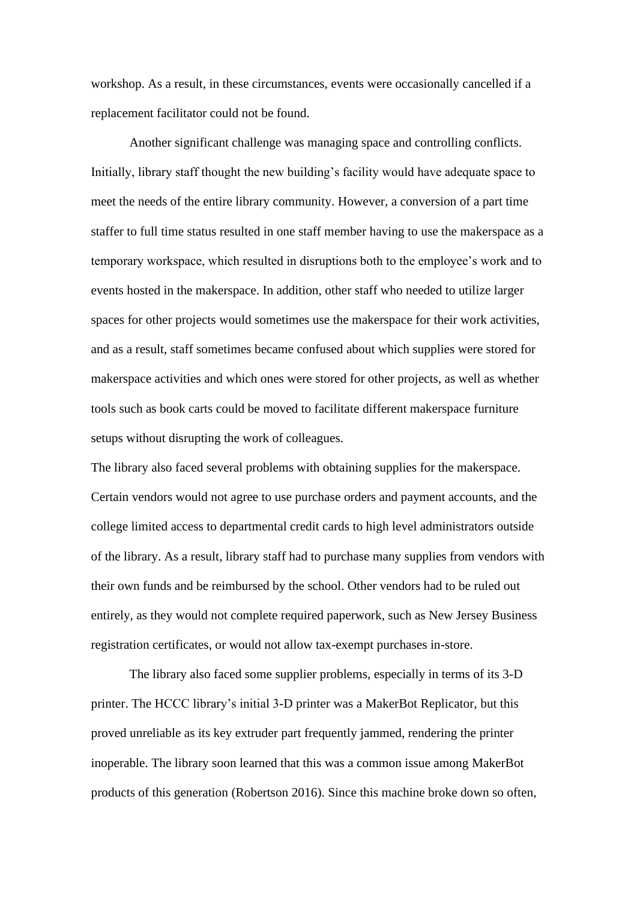workshop. As a result, in these circumstances, events were occasionally cancelled if a replacement facilitator could not be found.

Another significant challenge was managing space and controlling conflicts. Initially, library staff thought the new building's facility would have adequate space to meet the needs of the entire library community. However, a conversion of a part time staffer to full time status resulted in one staff member having to use the makerspace as a temporary workspace, which resulted in disruptions both to the employee's work and to events hosted in the makerspace. In addition, other staff who needed to utilize larger spaces for other projects would sometimes use the makerspace for their work activities, and as a result, staff sometimes became confused about which supplies were stored for makerspace activities and which ones were stored for other projects, as well as whether tools such as book carts could be moved to facilitate different makerspace furniture setups without disrupting the work of colleagues.

The library also faced several problems with obtaining supplies for the makerspace. Certain vendors would not agree to use purchase orders and payment accounts, and the college limited access to departmental credit cards to high level administrators outside of the library. As a result, library staff had to purchase many supplies from vendors with their own funds and be reimbursed by the school. Other vendors had to be ruled out entirely, as they would not complete required paperwork, such as New Jersey Business registration certificates, or would not allow tax-exempt purchases in-store.

The library also faced some supplier problems, especially in terms of its 3-D printer. The HCCC library's initial 3-D printer was a MakerBot Replicator, but this proved unreliable as its key extruder part frequently jammed, rendering the printer inoperable. The library soon learned that this was a common issue among MakerBot products of this generation (Robertson 2016). Since this machine broke down so often,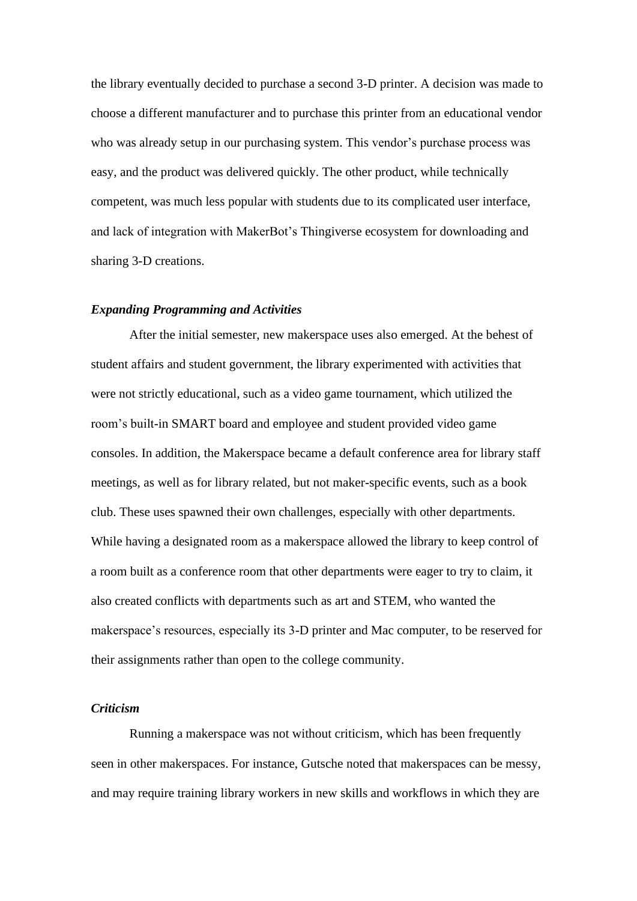the library eventually decided to purchase a second 3-D printer. A decision was made to choose a different manufacturer and to purchase this printer from an educational vendor who was already setup in our purchasing system. This vendor's purchase process was easy, and the product was delivered quickly. The other product, while technically competent, was much less popular with students due to its complicated user interface, and lack of integration with MakerBot's Thingiverse ecosystem for downloading and sharing 3-D creations.

#### *Expanding Programming and Activities*

After the initial semester, new makerspace uses also emerged. At the behest of student affairs and student government, the library experimented with activities that were not strictly educational, such as a video game tournament, which utilized the room's built-in SMART board and employee and student provided video game consoles. In addition, the Makerspace became a default conference area for library staff meetings, as well as for library related, but not maker-specific events, such as a book club. These uses spawned their own challenges, especially with other departments. While having a designated room as a makerspace allowed the library to keep control of a room built as a conference room that other departments were eager to try to claim, it also created conflicts with departments such as art and STEM, who wanted the makerspace's resources, especially its 3-D printer and Mac computer, to be reserved for their assignments rather than open to the college community.

## *Criticism*

Running a makerspace was not without criticism, which has been frequently seen in other makerspaces. For instance, Gutsche noted that makerspaces can be messy, and may require training library workers in new skills and workflows in which they are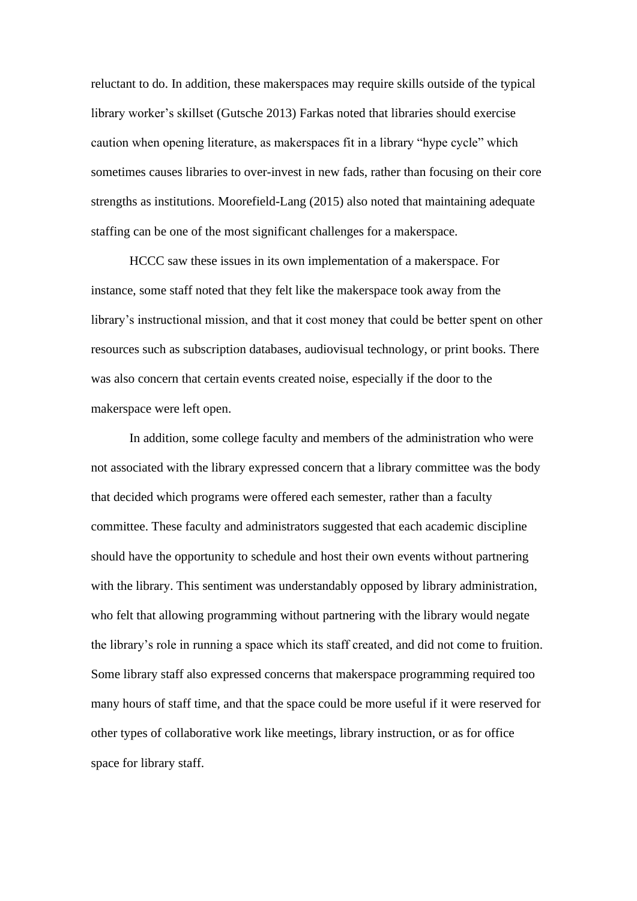reluctant to do. In addition, these makerspaces may require skills outside of the typical library worker's skillset (Gutsche 2013) Farkas noted that libraries should exercise caution when opening literature, as makerspaces fit in a library "hype cycle" which sometimes causes libraries to over-invest in new fads, rather than focusing on their core strengths as institutions. Moorefield-Lang (2015) also noted that maintaining adequate staffing can be one of the most significant challenges for a makerspace.

HCCC saw these issues in its own implementation of a makerspace. For instance, some staff noted that they felt like the makerspace took away from the library's instructional mission, and that it cost money that could be better spent on other resources such as subscription databases, audiovisual technology, or print books. There was also concern that certain events created noise, especially if the door to the makerspace were left open.

In addition, some college faculty and members of the administration who were not associated with the library expressed concern that a library committee was the body that decided which programs were offered each semester, rather than a faculty committee. These faculty and administrators suggested that each academic discipline should have the opportunity to schedule and host their own events without partnering with the library. This sentiment was understandably opposed by library administration, who felt that allowing programming without partnering with the library would negate the library's role in running a space which its staff created, and did not come to fruition. Some library staff also expressed concerns that makerspace programming required too many hours of staff time, and that the space could be more useful if it were reserved for other types of collaborative work like meetings, library instruction, or as for office space for library staff.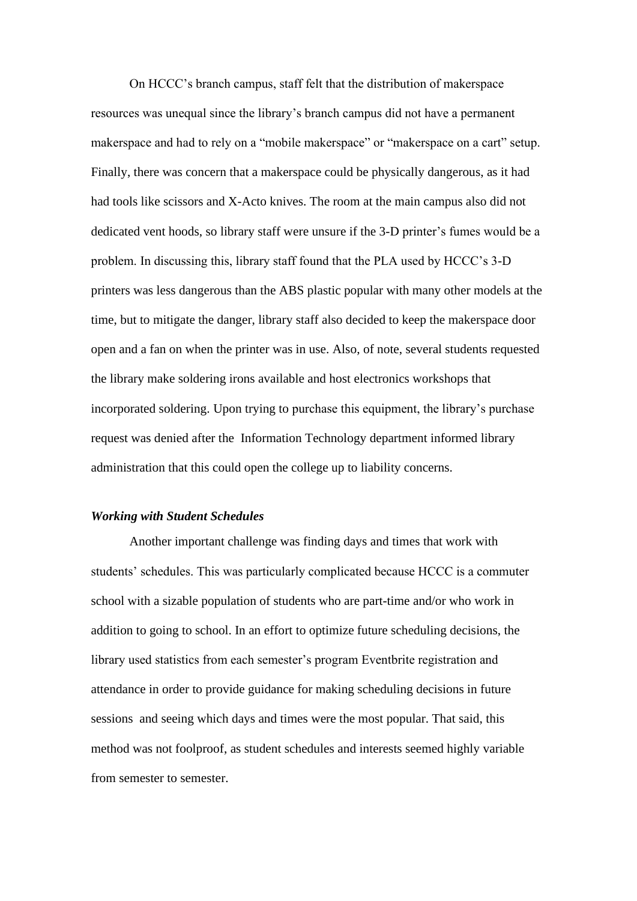On HCCC's branch campus, staff felt that the distribution of makerspace resources was unequal since the library's branch campus did not have a permanent makerspace and had to rely on a "mobile makerspace" or "makerspace on a cart" setup. Finally, there was concern that a makerspace could be physically dangerous, as it had had tools like scissors and X-Acto knives. The room at the main campus also did not dedicated vent hoods, so library staff were unsure if the 3-D printer's fumes would be a problem. In discussing this, library staff found that the PLA used by HCCC's 3-D printers was less dangerous than the ABS plastic popular with many other models at the time, but to mitigate the danger, library staff also decided to keep the makerspace door open and a fan on when the printer was in use. Also, of note, several students requested the library make soldering irons available and host electronics workshops that incorporated soldering. Upon trying to purchase this equipment, the library's purchase request was denied after the Information Technology department informed library administration that this could open the college up to liability concerns.

#### *Working with Student Schedules*

Another important challenge was finding days and times that work with students' schedules. This was particularly complicated because HCCC is a commuter school with a sizable population of students who are part-time and/or who work in addition to going to school. In an effort to optimize future scheduling decisions, the library used statistics from each semester's program Eventbrite registration and attendance in order to provide guidance for making scheduling decisions in future sessions and seeing which days and times were the most popular. That said, this method was not foolproof, as student schedules and interests seemed highly variable from semester to semester.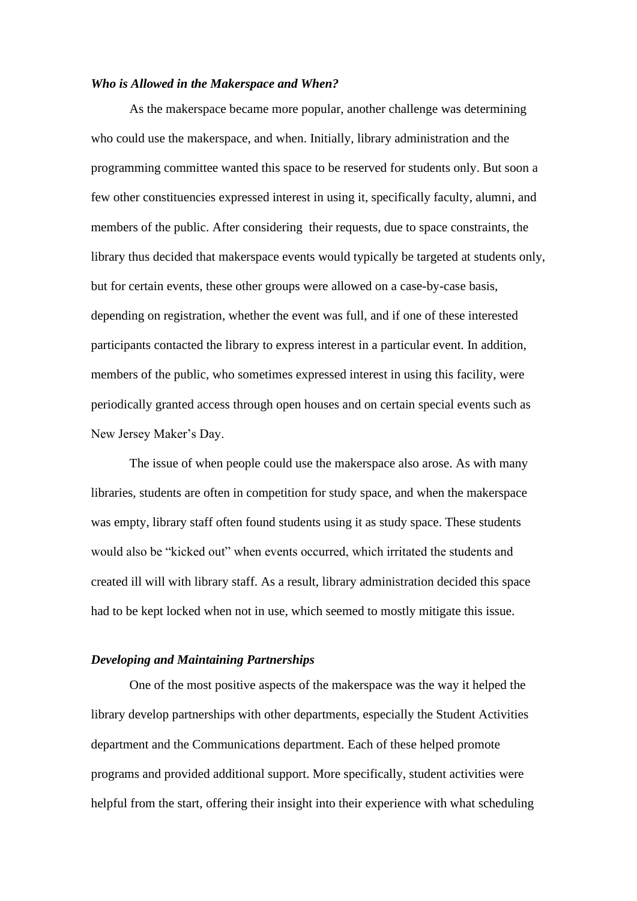## *Who is Allowed in the Makerspace and When?*

As the makerspace became more popular, another challenge was determining who could use the makerspace, and when. Initially, library administration and the programming committee wanted this space to be reserved for students only. But soon a few other constituencies expressed interest in using it, specifically faculty, alumni, and members of the public. After considering their requests, due to space constraints, the library thus decided that makerspace events would typically be targeted at students only, but for certain events, these other groups were allowed on a case-by-case basis, depending on registration, whether the event was full, and if one of these interested participants contacted the library to express interest in a particular event. In addition, members of the public, who sometimes expressed interest in using this facility, were periodically granted access through open houses and on certain special events such as New Jersey Maker's Day.

The issue of when people could use the makerspace also arose. As with many libraries, students are often in competition for study space, and when the makerspace was empty, library staff often found students using it as study space. These students would also be "kicked out" when events occurred, which irritated the students and created ill will with library staff. As a result, library administration decided this space had to be kept locked when not in use, which seemed to mostly mitigate this issue.

#### *Developing and Maintaining Partnerships*

One of the most positive aspects of the makerspace was the way it helped the library develop partnerships with other departments, especially the Student Activities department and the Communications department. Each of these helped promote programs and provided additional support. More specifically, student activities were helpful from the start, offering their insight into their experience with what scheduling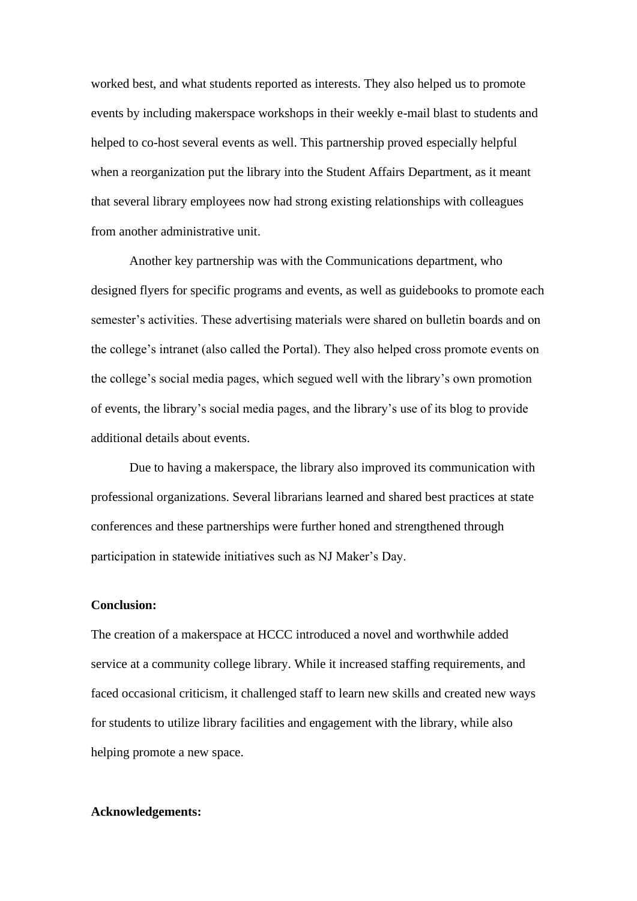worked best, and what students reported as interests. They also helped us to promote events by including makerspace workshops in their weekly e-mail blast to students and helped to co-host several events as well. This partnership proved especially helpful when a reorganization put the library into the Student Affairs Department, as it meant that several library employees now had strong existing relationships with colleagues from another administrative unit.

Another key partnership was with the Communications department, who designed flyers for specific programs and events, as well as guidebooks to promote each semester's activities. These advertising materials were shared on bulletin boards and on the college's intranet (also called the Portal). They also helped cross promote events on the college's social media pages, which segued well with the library's own promotion of events, the library's social media pages, and the library's use of its blog to provide additional details about events.

Due to having a makerspace, the library also improved its communication with professional organizations. Several librarians learned and shared best practices at state conferences and these partnerships were further honed and strengthened through participation in statewide initiatives such as NJ Maker's Day.

#### **Conclusion:**

The creation of a makerspace at HCCC introduced a novel and worthwhile added service at a community college library. While it increased staffing requirements, and faced occasional criticism, it challenged staff to learn new skills and created new ways for students to utilize library facilities and engagement with the library, while also helping promote a new space.

## **Acknowledgements:**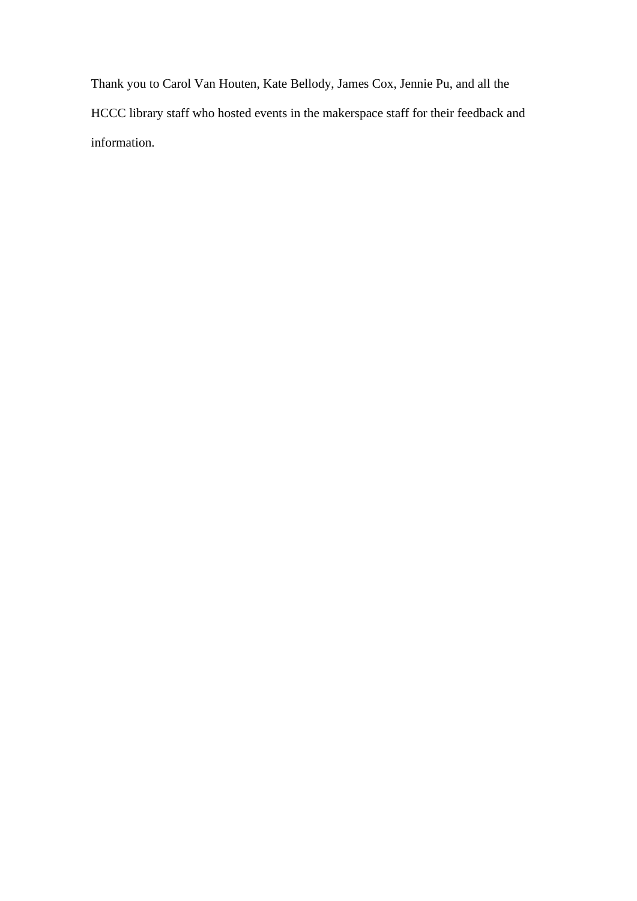Thank you to Carol Van Houten, Kate Bellody, James Cox, Jennie Pu, and all the HCCC library staff who hosted events in the makerspace staff for their feedback and information.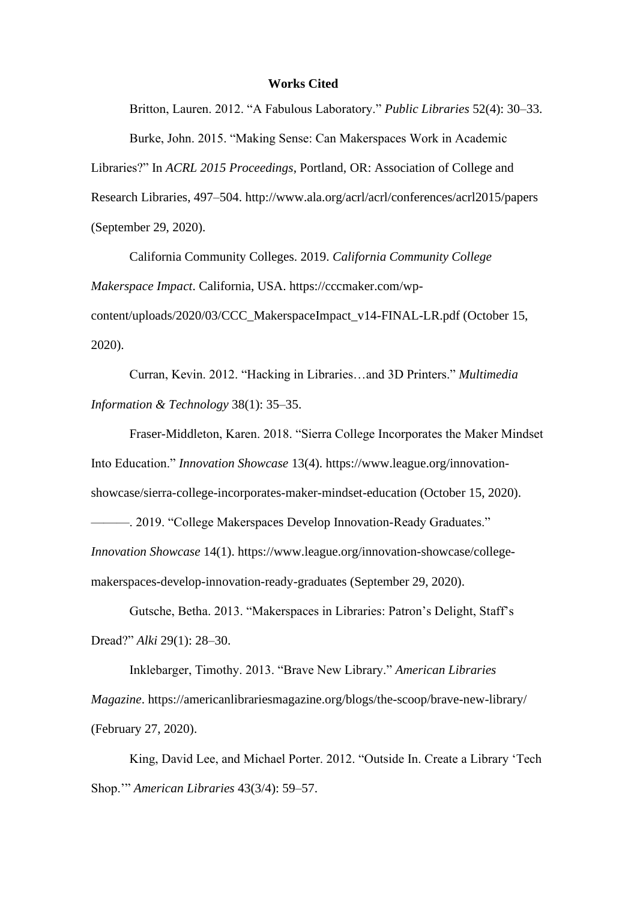## **Works Cited**

Britton, Lauren. 2012. "A Fabulous Laboratory." *Public Libraries* 52(4): 30–33. Burke, John. 2015. "Making Sense: Can Makerspaces Work in Academic Libraries?" In *ACRL 2015 Proceedings*, Portland, OR: Association of College and Research Libraries, 497–504. http://www.ala.org/acrl/acrl/conferences/acrl2015/papers (September 29, 2020).

California Community Colleges. 2019. *California Community College Makerspace Impact*. California, USA. https://cccmaker.com/wpcontent/uploads/2020/03/CCC\_MakerspaceImpact\_v14-FINAL-LR.pdf (October 15, 2020).

Curran, Kevin. 2012. "Hacking in Libraries…and 3D Printers." *Multimedia Information & Technology* 38(1): 35–35.

Fraser-Middleton, Karen. 2018. "Sierra College Incorporates the Maker Mindset Into Education." *Innovation Showcase* 13(4). https://www.league.org/innovationshowcase/sierra-college-incorporates-maker-mindset-education (October 15, 2020). —. 2019. "College Makerspaces Develop Innovation-Ready Graduates." *Innovation Showcase* 14(1). https://www.league.org/innovation-showcase/college-

makerspaces-develop-innovation-ready-graduates (September 29, 2020).

Gutsche, Betha. 2013. "Makerspaces in Libraries: Patron's Delight, Staff's Dread?" *Alki* 29(1): 28–30.

Inklebarger, Timothy. 2013. "Brave New Library." *American Libraries Magazine*. https://americanlibrariesmagazine.org/blogs/the-scoop/brave-new-library/ (February 27, 2020).

King, David Lee, and Michael Porter. 2012. "Outside In. Create a Library 'Tech Shop.'" *American Libraries* 43(3/4): 59–57.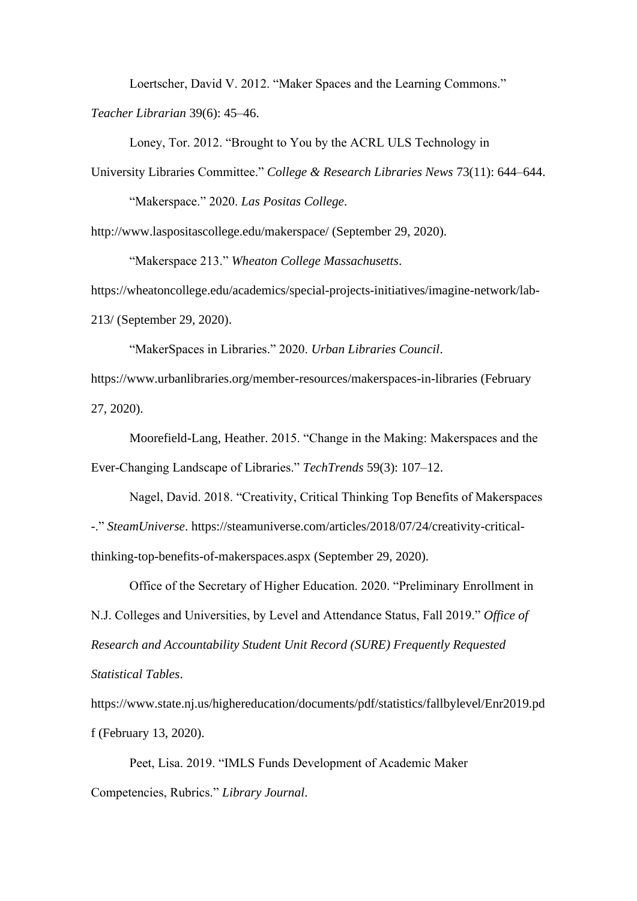Loertscher, David V. 2012. "Maker Spaces and the Learning Commons."

*Teacher Librarian* 39(6): 45–46.

Loney, Tor. 2012. "Brought to You by the ACRL ULS Technology in

University Libraries Committee." *College & Research Libraries News* 73(11): 644–644.

"Makerspace." 2020. *Las Positas College*.

http://www.laspositascollege.edu/makerspace/ (September 29, 2020).

"Makerspace 213." *Wheaton College Massachusetts*.

https://wheatoncollege.edu/academics/special-projects-initiatives/imagine-network/lab-213/ (September 29, 2020).

"MakerSpaces in Libraries." 2020. *Urban Libraries Council*. https://www.urbanlibraries.org/member-resources/makerspaces-in-libraries (February 27, 2020).

Moorefield-Lang, Heather. 2015. "Change in the Making: Makerspaces and the Ever-Changing Landscape of Libraries." *TechTrends* 59(3): 107–12.

Nagel, David. 2018. "Creativity, Critical Thinking Top Benefits of Makerspaces -." *SteamUniverse*. https://steamuniverse.com/articles/2018/07/24/creativity-criticalthinking-top-benefits-of-makerspaces.aspx (September 29, 2020).

Office of the Secretary of Higher Education. 2020. "Preliminary Enrollment in N.J. Colleges and Universities, by Level and Attendance Status, Fall 2019." *Office of Research and Accountability Student Unit Record (SURE) Frequently Requested Statistical Tables*.

https://www.state.nj.us/highereducation/documents/pdf/statistics/fallbylevel/Enr2019.pd f (February 13, 2020).

Peet, Lisa. 2019. "IMLS Funds Development of Academic Maker Competencies, Rubrics." *Library Journal*.